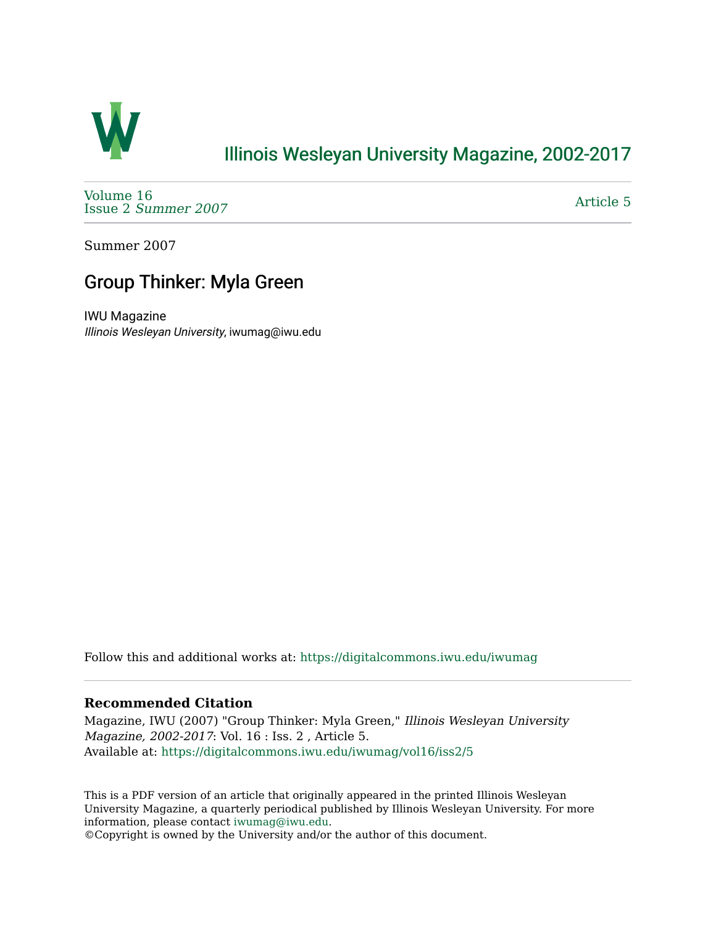

## [Illinois Wesleyan University Magazine, 2002-2017](https://digitalcommons.iwu.edu/iwumag)

[Volume 16](https://digitalcommons.iwu.edu/iwumag/vol16)  Issue 2 [Summer 2007](https://digitalcommons.iwu.edu/iwumag/vol16/iss2) 

[Article 5](https://digitalcommons.iwu.edu/iwumag/vol16/iss2/5) 

Summer 2007

## Group Thinker: Myla Green

IWU Magazine Illinois Wesleyan University, iwumag@iwu.edu

Follow this and additional works at: [https://digitalcommons.iwu.edu/iwumag](https://digitalcommons.iwu.edu/iwumag?utm_source=digitalcommons.iwu.edu%2Fiwumag%2Fvol16%2Fiss2%2F5&utm_medium=PDF&utm_campaign=PDFCoverPages) 

## **Recommended Citation**

Magazine, IWU (2007) "Group Thinker: Myla Green," Illinois Wesleyan University Magazine, 2002-2017: Vol. 16 : Iss. 2 , Article 5. Available at: [https://digitalcommons.iwu.edu/iwumag/vol16/iss2/5](https://digitalcommons.iwu.edu/iwumag/vol16/iss2/5?utm_source=digitalcommons.iwu.edu%2Fiwumag%2Fvol16%2Fiss2%2F5&utm_medium=PDF&utm_campaign=PDFCoverPages)

This is a PDF version of an article that originally appeared in the printed Illinois Wesleyan University Magazine, a quarterly periodical published by Illinois Wesleyan University. For more information, please contact [iwumag@iwu.edu](mailto:iwumag@iwu.edu).

©Copyright is owned by the University and/or the author of this document.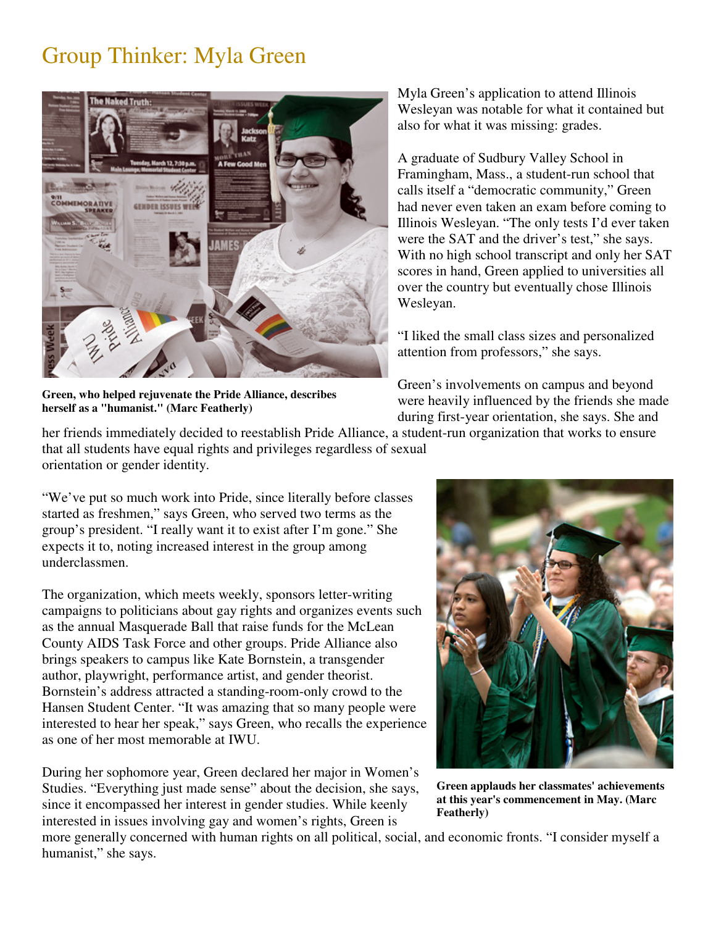## Group Thinker: Myla Green



**Green, who helped rejuvenate the Pride Alliance, describes herself as a "humanist." (Marc Featherly)**

Myla Green's application to attend Illinois Wesleyan was notable for what it contained but also for what it was missing: grades.

A graduate of Sudbury Valley School in Framingham, Mass., a student-run school that calls itself a "democratic community," Green had never even taken an exam before coming to Illinois Wesleyan. "The only tests I'd ever taken were the SAT and the driver's test," she says. With no high school transcript and only her SAT scores in hand, Green applied to universities all over the country but eventually chose Illinois Wesleyan.

"I liked the small class sizes and personalized attention from professors," she says.

Green's involvements on campus and beyond were heavily influenced by the friends she made during first-year orientation, she says. She and

her friends immediately decided to reestablish Pride Alliance, a student-run organization that works to ensure that all students have equal rights and privileges regardless of sexual orientation or gender identity.

"We've put so much work into Pride, since literally before classes started as freshmen," says Green, who served two terms as the group's president. "I really want it to exist after I'm gone." She expects it to, noting increased interest in the group among underclassmen.

The organization, which meets weekly, sponsors letter-writing campaigns to politicians about gay rights and organizes events such as the annual Masquerade Ball that raise funds for the McLean County AIDS Task Force and other groups. Pride Alliance also brings speakers to campus like Kate Bornstein, a transgender author, playwright, performance artist, and gender theorist. Bornstein's address attracted a standing-room-only crowd to the Hansen Student Center. "It was amazing that so many people were interested to hear her speak," says Green, who recalls the experience as one of her most memorable at IWU.

During her sophomore year, Green declared her major in Women's Studies. "Everything just made sense" about the decision, she says, since it encompassed her interest in gender studies. While keenly interested in issues involving gay and women's rights, Green is



**Green applauds her classmates' achievements at this year's commencement in May. (Marc Featherly)**

more generally concerned with human rights on all political, social, and economic fronts. "I consider myself a humanist," she says.